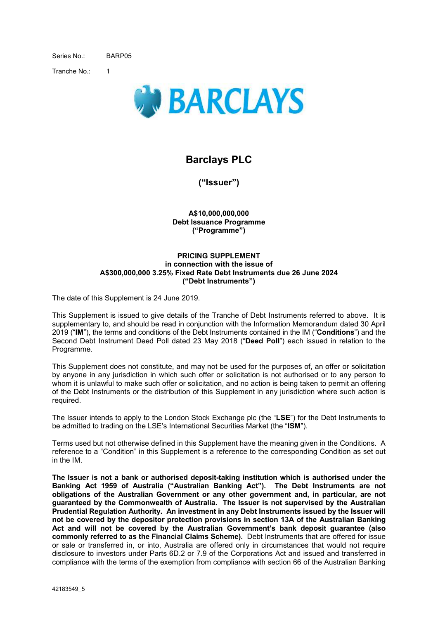Series No.: BARP05

Tranche No<sup>.</sup> 1



# **Barclays PLC**

**("Issuer")** 

**A\$10,000,000,000 Debt Issuance Programme ("Programme")** 

#### **PRICING SUPPLEMENT in connection with the issue of A\$300,000,000 3.25% Fixed Rate Debt Instruments due 26 June 2024 ("Debt Instruments")**

The date of this Supplement is 24 June 2019.

This Supplement is issued to give details of the Tranche of Debt Instruments referred to above. It is supplementary to, and should be read in conjunction with the Information Memorandum dated 30 April 2019 ("**IM**"), the terms and conditions of the Debt Instruments contained in the IM ("**Conditions**") and the Second Debt Instrument Deed Poll dated 23 May 2018 ("**Deed Poll**") each issued in relation to the Programme.

This Supplement does not constitute, and may not be used for the purposes of, an offer or solicitation by anyone in any jurisdiction in which such offer or solicitation is not authorised or to any person to whom it is unlawful to make such offer or solicitation, and no action is being taken to permit an offering of the Debt Instruments or the distribution of this Supplement in any jurisdiction where such action is required.

The Issuer intends to apply to the London Stock Exchange plc (the "**LSE**") for the Debt Instruments to be admitted to trading on the LSE's International Securities Market (the "**ISM**").

Terms used but not otherwise defined in this Supplement have the meaning given in the Conditions. A reference to a "Condition" in this Supplement is a reference to the corresponding Condition as set out in the IM.

**The Issuer is not a bank or authorised deposit-taking institution which is authorised under the Banking Act 1959 of Australia ("Australian Banking Act"). The Debt Instruments are not obligations of the Australian Government or any other government and, in particular, are not guaranteed by the Commonwealth of Australia. The Issuer is not supervised by the Australian Prudential Regulation Authority. An investment in any Debt Instruments issued by the Issuer will not be covered by the depositor protection provisions in section 13A of the Australian Banking Act and will not be covered by the Australian Government's bank deposit guarantee (also commonly referred to as the Financial Claims Scheme).** Debt Instruments that are offered for issue or sale or transferred in, or into, Australia are offered only in circumstances that would not require disclosure to investors under Parts 6D.2 or 7.9 of the Corporations Act and issued and transferred in compliance with the terms of the exemption from compliance with section 66 of the Australian Banking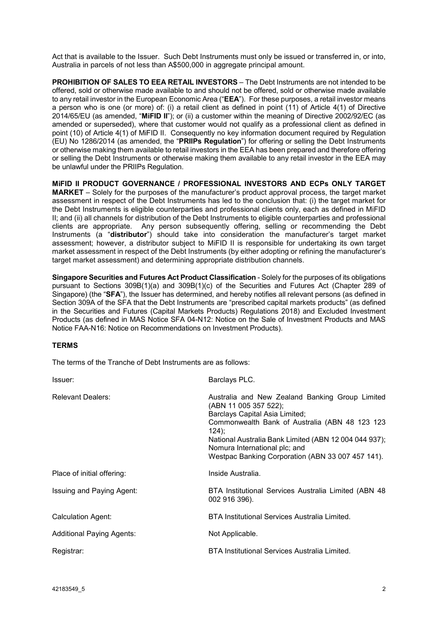Act that is available to the Issuer. Such Debt Instruments must only be issued or transferred in, or into, Australia in parcels of not less than A\$500,000 in aggregate principal amount.

**PROHIBITION OF SALES TO EEA RETAIL INVESTORS** – The Debt Instruments are not intended to be offered, sold or otherwise made available to and should not be offered, sold or otherwise made available to any retail investor in the European Economic Area ("**EEA**"). For these purposes, a retail investor means a person who is one (or more) of: (i) a retail client as defined in point (11) of Article 4(1) of Directive 2014/65/EU (as amended, "**MiFID II**"); or (ii) a customer within the meaning of Directive 2002/92/EC (as amended or superseded), where that customer would not qualify as a professional client as defined in point (10) of Article 4(1) of MiFID II. Consequently no key information document required by Regulation (EU) No 1286/2014 (as amended, the "**PRIIPs Regulation**") for offering or selling the Debt Instruments or otherwise making them available to retail investors in the EEA has been prepared and therefore offering or selling the Debt Instruments or otherwise making them available to any retail investor in the EEA may be unlawful under the PRIIPs Regulation.

**MiFID II PRODUCT GOVERNANCE / PROFESSIONAL INVESTORS AND ECPs ONLY TARGET MARKET** – Solely for the purposes of the manufacturer's product approval process, the target market assessment in respect of the Debt Instruments has led to the conclusion that: (i) the target market for the Debt Instruments is eligible counterparties and professional clients only, each as defined in MiFID II; and (ii) all channels for distribution of the Debt Instruments to eligible counterparties and professional clients are appropriate. Any person subsequently offering, selling or recommending the Debt Instruments (a "**distributor**") should take into consideration the manufacturer's target market assessment; however, a distributor subject to MiFID II is responsible for undertaking its own target market assessment in respect of the Debt Instruments (by either adopting or refining the manufacturer's target market assessment) and determining appropriate distribution channels.

**Singapore Securities and Futures Act Product Classification** - Solely for the purposes of its obligations pursuant to Sections 309B(1)(a) and 309B(1)(c) of the Securities and Futures Act (Chapter 289 of Singapore) (the "**SFA**"), the Issuer has determined, and hereby notifies all relevant persons (as defined in Section 309A of the SFA that the Debt Instruments are "prescribed capital markets products" (as defined in the Securities and Futures (Capital Markets Products) Regulations 2018) and Excluded Investment Products (as defined in MAS Notice SFA 04-N12: Notice on the Sale of Investment Products and MAS Notice FAA-N16: Notice on Recommendations on Investment Products).

## **TERMS**

The terms of the Tranche of Debt Instruments are as follows:

| Issuer:                          | Barclays PLC.                                                                                                                                                                                                                                                                                                          |
|----------------------------------|------------------------------------------------------------------------------------------------------------------------------------------------------------------------------------------------------------------------------------------------------------------------------------------------------------------------|
| <b>Relevant Dealers:</b>         | Australia and New Zealand Banking Group Limited<br>(ABN 11 005 357 522);<br>Barclays Capital Asia Limited;<br>Commonwealth Bank of Australia (ABN 48 123 123<br>$124$ :<br>National Australia Bank Limited (ABN 12 004 044 937);<br>Nomura International plc; and<br>Westpac Banking Corporation (ABN 33 007 457 141). |
| Place of initial offering:       | Inside Australia.                                                                                                                                                                                                                                                                                                      |
| Issuing and Paying Agent:        | BTA Institutional Services Australia Limited (ABN 48)<br>002 916 396).                                                                                                                                                                                                                                                 |
| Calculation Agent:               | BTA Institutional Services Australia Limited.                                                                                                                                                                                                                                                                          |
| <b>Additional Paying Agents:</b> | Not Applicable.                                                                                                                                                                                                                                                                                                        |
| Registrar:                       | BTA Institutional Services Australia Limited.                                                                                                                                                                                                                                                                          |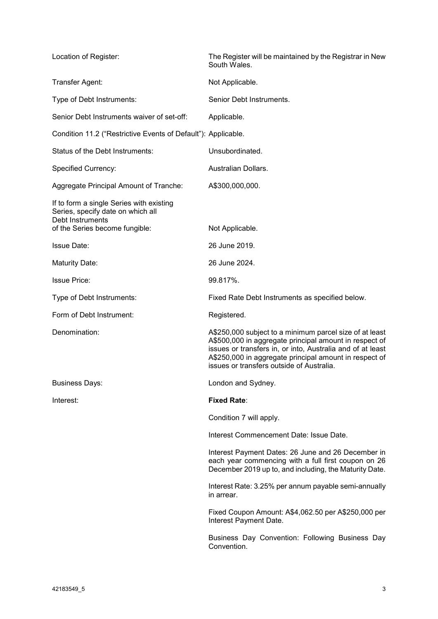| Location of Register:                                                                                    | The Register will be maintained by the Registrar in New<br>South Wales.                                                                                                                                                                                                                |
|----------------------------------------------------------------------------------------------------------|----------------------------------------------------------------------------------------------------------------------------------------------------------------------------------------------------------------------------------------------------------------------------------------|
| Transfer Agent:                                                                                          | Not Applicable.                                                                                                                                                                                                                                                                        |
| Type of Debt Instruments:                                                                                | Senior Debt Instruments.                                                                                                                                                                                                                                                               |
| Senior Debt Instruments waiver of set-off:                                                               | Applicable.                                                                                                                                                                                                                                                                            |
| Condition 11.2 ("Restrictive Events of Default"): Applicable.                                            |                                                                                                                                                                                                                                                                                        |
| Status of the Debt Instruments:                                                                          | Unsubordinated.                                                                                                                                                                                                                                                                        |
| <b>Specified Currency:</b>                                                                               | Australian Dollars.                                                                                                                                                                                                                                                                    |
| Aggregate Principal Amount of Tranche:                                                                   | A\$300,000,000.                                                                                                                                                                                                                                                                        |
| If to form a single Series with existing<br>Series, specify date on which all<br><b>Debt Instruments</b> |                                                                                                                                                                                                                                                                                        |
| of the Series become fungible:                                                                           | Not Applicable.                                                                                                                                                                                                                                                                        |
| <b>Issue Date:</b>                                                                                       | 26 June 2019.                                                                                                                                                                                                                                                                          |
| Maturity Date:                                                                                           | 26 June 2024.                                                                                                                                                                                                                                                                          |
| <b>Issue Price:</b>                                                                                      | 99.817%.                                                                                                                                                                                                                                                                               |
| Type of Debt Instruments:                                                                                | Fixed Rate Debt Instruments as specified below.                                                                                                                                                                                                                                        |
| Form of Debt Instrument:                                                                                 | Registered.                                                                                                                                                                                                                                                                            |
| Denomination:                                                                                            | A\$250,000 subject to a minimum parcel size of at least<br>A\$500,000 in aggregate principal amount in respect of<br>issues or transfers in, or into, Australia and of at least<br>A\$250,000 in aggregate principal amount in respect of<br>issues or transfers outside of Australia. |
| <b>Business Days:</b>                                                                                    | London and Sydney.                                                                                                                                                                                                                                                                     |
| Interest:                                                                                                | <b>Fixed Rate:</b>                                                                                                                                                                                                                                                                     |
|                                                                                                          | Condition 7 will apply.                                                                                                                                                                                                                                                                |
|                                                                                                          | Interest Commencement Date: Issue Date.                                                                                                                                                                                                                                                |
|                                                                                                          | Interest Payment Dates: 26 June and 26 December in<br>each year commencing with a full first coupon on 26<br>December 2019 up to, and including, the Maturity Date.                                                                                                                    |
|                                                                                                          | Interest Rate: 3.25% per annum payable semi-annually<br>in arrear.                                                                                                                                                                                                                     |
|                                                                                                          | Fixed Coupon Amount: A\$4,062.50 per A\$250,000 per<br>Interest Payment Date.                                                                                                                                                                                                          |
|                                                                                                          | Business Day Convention: Following Business Day<br>Convention.                                                                                                                                                                                                                         |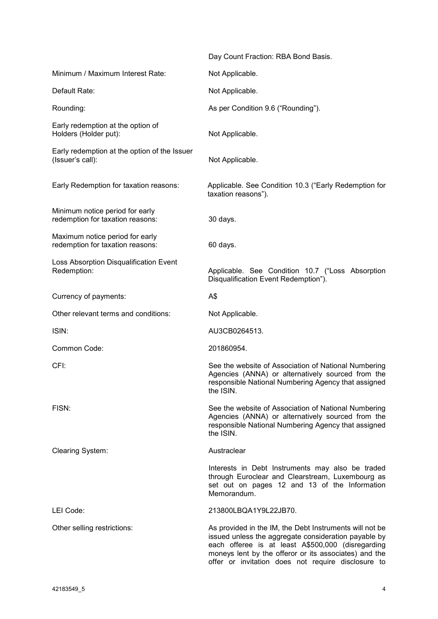|                                                                     | Day Count Fraction: RBA Bond Basis.                                                                                                                                                                                                                                                 |
|---------------------------------------------------------------------|-------------------------------------------------------------------------------------------------------------------------------------------------------------------------------------------------------------------------------------------------------------------------------------|
| Minimum / Maximum Interest Rate:                                    | Not Applicable.                                                                                                                                                                                                                                                                     |
| Default Rate:                                                       | Not Applicable.                                                                                                                                                                                                                                                                     |
| Rounding:                                                           | As per Condition 9.6 ("Rounding").                                                                                                                                                                                                                                                  |
| Early redemption at the option of<br>Holders (Holder put):          | Not Applicable.                                                                                                                                                                                                                                                                     |
| Early redemption at the option of the Issuer<br>(Issuer's call):    | Not Applicable.                                                                                                                                                                                                                                                                     |
| Early Redemption for taxation reasons:                              | Applicable. See Condition 10.3 ("Early Redemption for<br>taxation reasons").                                                                                                                                                                                                        |
| Minimum notice period for early<br>redemption for taxation reasons: | 30 days.                                                                                                                                                                                                                                                                            |
| Maximum notice period for early<br>redemption for taxation reasons: | 60 days.                                                                                                                                                                                                                                                                            |
| Loss Absorption Disqualification Event<br>Redemption:               | Applicable. See Condition 10.7 ("Loss Absorption<br>Disqualification Event Redemption").                                                                                                                                                                                            |
| Currency of payments:                                               | A\$                                                                                                                                                                                                                                                                                 |
| Other relevant terms and conditions:                                | Not Applicable.                                                                                                                                                                                                                                                                     |
| ISIN:                                                               | AU3CB0264513.                                                                                                                                                                                                                                                                       |
| Common Code:                                                        | 201860954.                                                                                                                                                                                                                                                                          |
| CFI:                                                                | See the website of Association of National Numbering<br>Agencies (ANNA) or alternatively sourced from the<br>responsible National Numbering Agency that assigned<br>the ISIN.                                                                                                       |
| FISN:                                                               | See the website of Association of National Numbering<br>Agencies (ANNA) or alternatively sourced from the<br>responsible National Numbering Agency that assigned<br>the ISIN.                                                                                                       |
| Clearing System:                                                    | Austraclear                                                                                                                                                                                                                                                                         |
|                                                                     | Interests in Debt Instruments may also be traded<br>through Euroclear and Clearstream, Luxembourg as<br>set out on pages 12 and 13 of the Information<br>Memorandum.                                                                                                                |
| LEI Code:                                                           | 213800LBQA1Y9L22JB70.                                                                                                                                                                                                                                                               |
| Other selling restrictions:                                         | As provided in the IM, the Debt Instruments will not be<br>issued unless the aggregate consideration payable by<br>each offeree is at least A\$500,000 (disregarding<br>moneys lent by the offeror or its associates) and the<br>offer or invitation does not require disclosure to |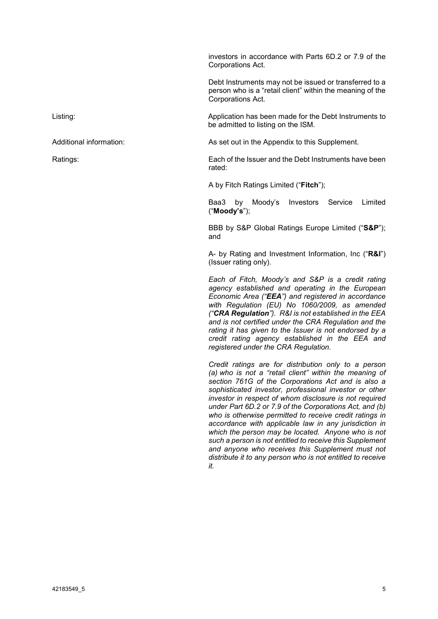investors in accordance with Parts 6D.2 or 7.9 of the Corporations Act.

Debt Instruments may not be issued or transferred to a person who is a "retail client" within the meaning of the Corporations Act.

Listing: Application has been made for the Debt Instruments to be admitted to listing on the ISM.

Additional information: As set out in the Appendix to this Supplement.

Ratings: Each of the Issuer and the Debt Instruments have been rated:

A by Fitch Ratings Limited ("**Fitch**");

Baa3 by Moody's Investors Service Limited ("**Moody's**");

BBB by S&P Global Ratings Europe Limited ("**S&P**"); and

A- by Rating and Investment Information, Inc ("**R&I**") (Issuer rating only).

*Each of Fitch, Moody's and S&P is a credit rating agency established and operating in the European Economic Area ("EEA") and registered in accordance with Regulation (EU) No 1060/2009, as amended ("CRA Regulation"). R&I is not established in the EEA and is not certified under the CRA Regulation and the rating it has given to the Issuer is not endorsed by a credit rating agency established in the EEA and registered under the CRA Regulation.* 

*Credit ratings are for distribution only to a person (a) who is not a "retail client" within the meaning of section 761G of the Corporations Act and is also a sophisticated investor, professional investor or other investor in respect of whom disclosure is not required under Part 6D.2 or 7.9 of the Corporations Act, and (b) who is otherwise permitted to receive credit ratings in accordance with applicable law in any jurisdiction in which the person may be located. Anyone who is not such a person is not entitled to receive this Supplement and anyone who receives this Supplement must not distribute it to any person who is not entitled to receive it.*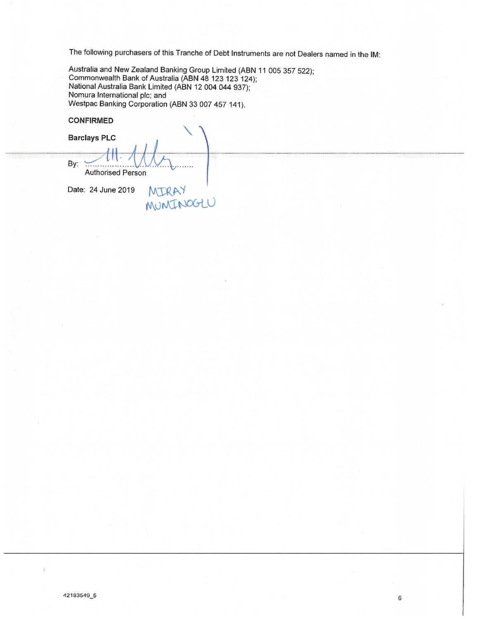The following purchasers of this Tranche of Debt Instruments are not Dealers named in the IM:

Australia and New Zealand Banking Group Limited (ABN 11 005 357 522); Commonwealth Bank of Australia (ABN 48 123 123 124); National Australia Bank Limited (ABN 12 004 044 937); Nomura International plc; and Westpac Banking Corporation (ABN 33 007 457 141).

**CONFIRMED** 

**Barclays PLC** By: **Authorised Person** MIRAY '

Date: 24 June 2019

42183549\_5

3